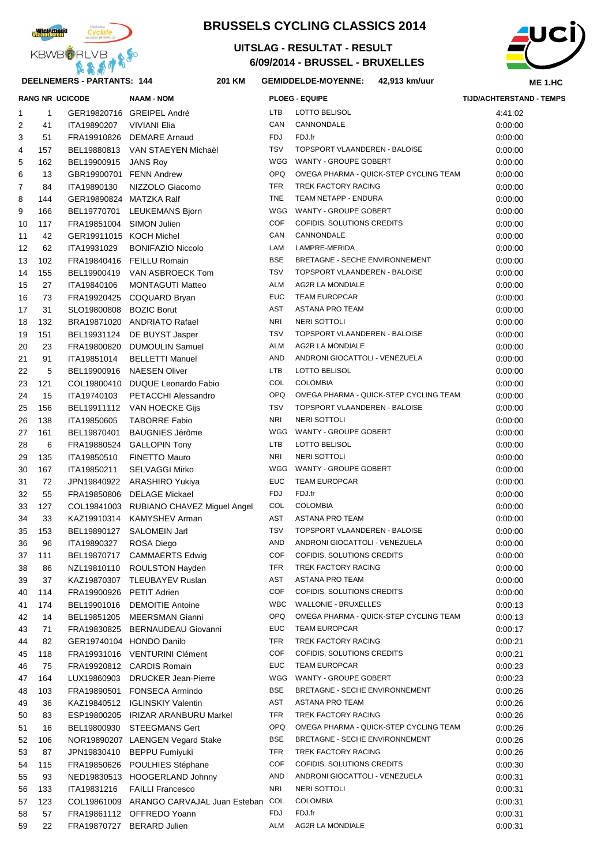

## **DEELNEMERS - PARTANTS: 144 201**

# **BRUSSELS CYCLING CLASSICS 2014**

## **6/09/2014 - BRUSSEL - BRUXELLES UITSLAG - RESULTAT - RESULT**



### **KM GEMIDDELDE-MOYENNE: 42,913 km/uur**

|    |              | <b>RANG NR UCICODE</b>   | <b>NAAM - NOM</b>                        |            | <b>PLOEG - EQUIPE</b>                  | TIJD/ACHTERSTAND - TEMPS |
|----|--------------|--------------------------|------------------------------------------|------------|----------------------------------------|--------------------------|
| 1  | $\mathbf{1}$ |                          | GER19820716 GREIPEL André                | LTB        | LOTTO BELISOL                          | 4:41:02                  |
| 2  | 41           | ITA19890207              | VIVIANI Elia                             | CAN        | CANNONDALE                             | 0:00:00                  |
| 3  | 51           |                          | FRA19910826 DEMARE Arnaud                | FDJ        | FDJ.fr                                 | 0:00:00                  |
| 4  | 157          |                          | BEL19880813 VAN STAEYEN Michaël          | TSV        | TOPSPORT VLAANDEREN - BALOISE          | 0:00:00                  |
| 5  | 162          | BEL19900915 JANS Roy     |                                          | WGG        | WANTY - GROUPE GOBERT                  | 0:00:00                  |
| 6  | 13           | GBR19900701 FENN Andrew  |                                          | <b>OPQ</b> | OMEGA PHARMA - QUICK-STEP CYCLING TEAM | 0:00:00                  |
| 7  | 84           | ITA19890130              | NIZZOLO Giacomo                          | <b>TFR</b> | TREK FACTORY RACING                    | 0:00:00                  |
| 8  | 144          | GER19890824 MATZKA Ralf  |                                          | <b>TNE</b> | TEAM NETAPP - ENDURA                   | 0:00:00                  |
| 9  | 166          |                          | BEL19770701 LEUKEMANS Bjorn              | WGG        | WANTY - GROUPE GOBERT                  | 0:00:00                  |
| 10 | 117          | FRA19851004 SIMON Julien |                                          | <b>COF</b> | COFIDIS, SOLUTIONS CREDITS             | 0:00:00                  |
| 11 | 42           | GER19911015 KOCH Michel  |                                          | CAN        | CANNONDALE                             | 0:00:00                  |
| 12 | 62           | ITA19931029              | <b>BONIFAZIO Niccolo</b>                 | LAM        | LAMPRE-MERIDA                          | 0:00:00                  |
| 13 | 102          |                          | FRA19840416 FEILLU Romain                | <b>BSE</b> | BRETAGNE - SECHE ENVIRONNEMENT         | 0:00:00                  |
| 14 | 155          |                          | BEL19900419 VAN ASBROECK Tom             | <b>TSV</b> | TOPSPORT VLAANDEREN - BALOISE          | 0:00:00                  |
| 15 | 27           | ITA19840106              | <b>MONTAGUTI Matteo</b>                  | ALM        | AG2R LA MONDIALE                       | 0:00:00                  |
| 16 | 73           |                          | FRA19920425 COQUARD Bryan                | EUC        | <b>TEAM EUROPCAR</b>                   | 0:00:00                  |
| 17 | 31           | SLO19800808 BOZIC Borut  |                                          | AST        | ASTANA PRO TEAM                        | 0:00:00                  |
| 18 | 132          |                          | BRA19871020 ANDRIATO Rafael              | NRI        | NERI SOTTOLI                           | 0:00:00                  |
| 19 | 151          |                          | BEL19931124 DE BUYST Jasper              | <b>TSV</b> | TOPSPORT VLAANDEREN - BALOISE          | 0:00:00                  |
| 20 | 23           |                          | FRA19800820 DUMOULIN Samuel              | ALM        | <b>AG2R LA MONDIALE</b>                | 0:00:00                  |
| 21 | 91           | ITA19851014              | <b>BELLETTI Manuel</b>                   | AND        | ANDRONI GIOCATTOLI - VENEZUELA         | 0:00:00                  |
| 22 | 5            |                          | BEL19900916 NAESEN Oliver                | LTB        | LOTTO BELISOL                          | 0:00:00                  |
| 23 | 121          |                          | COL19800410 DUQUE Leonardo Fabio         | COL        | <b>COLOMBIA</b>                        | 0:00:00                  |
| 24 | 15           | ITA19740103              | PETACCHI Alessandro                      | <b>OPQ</b> | OMEGA PHARMA - QUICK-STEP CYCLING TEAM | 0:00:00                  |
| 25 | 156          |                          | BEL19911112 VAN HOECKE Gijs              | TSV        | TOPSPORT VLAANDEREN - BALOISE          | 0:00:00                  |
| 26 | 138          | ITA19850605              | <b>TABORRE Fabio</b>                     | NRI        | NERI SOTTOLI                           | 0:00:00                  |
| 27 | 161          | BEL19870401              | <b>BAUGNIES Jérôme</b>                   | WGG        | WANTY - GROUPE GOBERT                  | 0:00:00                  |
| 28 | 6            |                          | FRA19880524 GALLOPIN Tony                | LTB        | LOTTO BELISOL                          | 0:00:00                  |
| 29 | 135          | ITA19850510              | <b>FINETTO Mauro</b>                     | NRI        | NERI SOTTOLI                           | 0:00:00                  |
| 30 | 167          | ITA19850211              | <b>SELVAGGI Mirko</b>                    | WGG        | WANTY - GROUPE GOBERT                  | 0:00:00                  |
| 31 | 72           |                          | JPN19840922 ARASHIRO Yukiya              | EUC        | <b>TEAM EUROPCAR</b>                   | 0:00:00                  |
| 32 | 55           |                          | FRA19850806 DELAGE Mickael               | FDJ        | FDJ.fr                                 | 0:00:00                  |
| 33 | 127          |                          | COL19841003 RUBIANO CHAVEZ Miguel Angel  | COL        | <b>COLOMBIA</b>                        | 0:00:00                  |
| 34 | 33           |                          | KAZ19910314 KAMYSHEV Arman               | AST        | ASTANA PRO TEAM                        | 0:00:00                  |
| 35 | 153          | BEL19890127              | SALOMEIN Jarl                            | TSV        | TOPSPORT VLAANDEREN - BALOISE          | 0:00:00                  |
| 36 | 96           | ITA19890327              | ROSA Diego                               | AND        | ANDRONI GIOCATTOLI - VENEZUELA         | 0:00:00                  |
| 37 | 111          |                          | BEL19870717 CAMMAERTS Edwig              | COF        | COFIDIS, SOLUTIONS CREDITS             | 0:00:00                  |
| 38 | 86           | NZL19810110              | ROULSTON Hayden                          | TFR        | TREK FACTORY RACING                    | 0:00:00                  |
| 39 | 37           | KAZ19870307              | TLEUBAYEV Ruslan                         | AST        | ASTANA PRO TEAM                        | 0:00:00                  |
| 40 | 114          | FRA19900926 PETIT Adrien |                                          | COF        | COFIDIS, SOLUTIONS CREDITS             | 0:00:00                  |
| 41 | 174          | BEL19901016              | <b>DEMOITIE Antoine</b>                  | <b>WBC</b> | <b>WALLONIE - BRUXELLES</b>            | 0:00:13                  |
| 42 | 14           |                          | BEL19851205 MEERSMAN Gianni              | OPQ        | OMEGA PHARMA - QUICK-STEP CYCLING TEAM | 0:00:13                  |
| 43 | 71           |                          | FRA19830825 BERNAUDEAU Giovanni          | <b>EUC</b> | <b>TEAM EUROPCAR</b>                   | 0:00:17                  |
| 44 | 82           |                          | GER19740104 HONDO Danilo                 | TFR        | TREK FACTORY RACING                    | 0:00:21                  |
| 45 | 118          |                          | FRA19931016 VENTURINI Clément            | COF        | COFIDIS, SOLUTIONS CREDITS             | 0:00:21                  |
| 46 | 75           |                          | FRA19920812 CARDIS Romain                | <b>EUC</b> | <b>TEAM EUROPCAR</b>                   | 0:00:23                  |
| 47 | 164          | LUX19860903              | <b>DRUCKER Jean-Pierre</b>               | WGG        | WANTY - GROUPE GOBERT                  | 0:00:23                  |
| 48 | 103          | FRA19890501              | FONSECA Armindo                          | <b>BSE</b> | BRETAGNE - SECHE ENVIRONNEMENT         | 0:00:26                  |
| 49 | 36           |                          | KAZ19840512 IGLINSKIY Valentin           | AST        | ASTANA PRO TEAM                        | 0:00:26                  |
| 50 | 83           |                          | ESP19800205 IRIZAR ARANBURU Markel       | TFR        | TREK FACTORY RACING                    | 0:00:26                  |
| 51 | 16           |                          | BEL19800930 STEEGMANS Gert               | <b>OPQ</b> | OMEGA PHARMA - QUICK-STEP CYCLING TEAM | 0.00:26                  |
| 52 | 106          |                          | NOR19890207 LAENGEN Vegard Stake         | <b>BSE</b> | BRETAGNE - SECHE ENVIRONNEMENT         | 0:00:26                  |
| 53 | 87           |                          | JPN19830410 BEPPU Fumiyuki               | TFR        | TREK FACTORY RACING                    | 0:00:26                  |
| 54 | 115          |                          | FRA19850626 POULHIES Stéphane            | COF        | COFIDIS, SOLUTIONS CREDITS             | 0:00:30                  |
| 55 | 93           |                          | NED19830513 HOOGERLAND Johnny            | AND        | ANDRONI GIOCATTOLI - VENEZUELA         | 0:00:31                  |
| 56 | 133          | ITA19831216              | <b>FAILLI Francesco</b>                  | NRI        | NERI SOTTOLI                           | 0:00:31                  |
| 57 | 123          |                          | COL19861009 ARANGO CARVAJAL Juan Esteban | COL        | <b>COLOMBIA</b>                        | 0:00:31                  |
| 58 | 57           |                          | FRA19861112 OFFREDO Yoann                | FDJ        | FDJ.fr                                 | 0:00:31                  |
| 59 | 22           |                          | FRA19870727 BERARD Julien                | ALM        | AG2R LA MONDIALE                       | 0:00:31                  |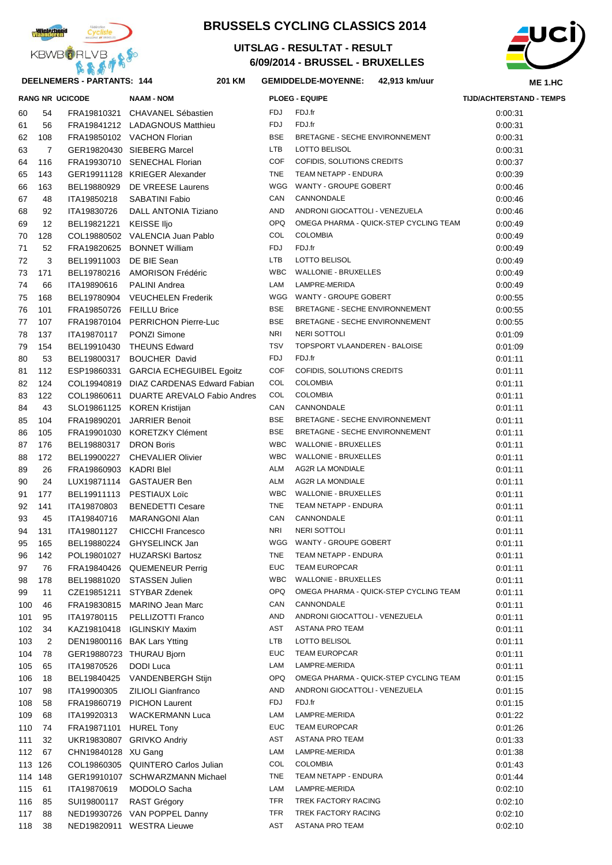

# **BRUSSELS CYCLING CLASSICS 2014**

## **6/09/2014 - BRUSSEL - BRUXELLES UITSLAG - RESULTAT - RESULT**



#### **KM GEMIDDELDE-MOYENNE: 42,913 km/uur**

|    |     |                | <b>RANG NR UCICODE</b>   | <b>NAAM - NOM</b>                       |            | <b>PLOEG - EQUIPE</b>                  | <b>TIJD/ACHTERSTAND - TEMPS</b> |
|----|-----|----------------|--------------------------|-----------------------------------------|------------|----------------------------------------|---------------------------------|
|    | 60  | 54             |                          | FRA19810321 CHAVANEL Sébastien          | <b>FDJ</b> | FDJ.fr                                 | 0:00:31                         |
|    | 61  | 56             |                          | FRA19841212 LADAGNOUS Matthieu          | <b>FDJ</b> | FDJ.fr                                 | 0:00:31                         |
|    | 62  | 108            |                          | FRA19850102 VACHON Florian              | <b>BSE</b> | BRETAGNE - SECHE ENVIRONNEMENT         | 0:00:31                         |
|    | 63  | 7              |                          | GER19820430 SIEBERG Marcel              | <b>LTB</b> | <b>LOTTO BELISOL</b>                   | 0:00:31                         |
|    | 64  | 116            |                          | FRA19930710 SENECHAL Florian            | <b>COF</b> | COFIDIS, SOLUTIONS CREDITS             | 0:00:37                         |
|    | 65  | 143            |                          | GER19911128 KRIEGER Alexander           | <b>TNE</b> | TEAM NETAPP - ENDURA                   | 0:00:39                         |
|    | 66  | 163            | BEL19880929              | DE VREESE Laurens                       | WGG        | WANTY - GROUPE GOBERT                  | 0:00:46                         |
|    | 67  | 48             | ITA19850218              | <b>SABATINI Fabio</b>                   | CAN        | CANNONDALE                             | 0:00:46                         |
|    | 68  | 92             | ITA19830726              | DALL ANTONIA Tiziano                    | AND        | ANDRONI GIOCATTOLI - VENEZUELA         | 0:00:46                         |
|    | 69  | 12             | BEL19821221              | KEISSE IIjo                             | <b>OPQ</b> | OMEGA PHARMA - QUICK-STEP CYCLING TEAM | 0:00:49                         |
|    | 70  | 128            |                          | COL19880502 VALENCIA Juan Pablo         | COL        | <b>COLOMBIA</b>                        | 0:00:49                         |
| 71 |     | 52             |                          | FRA19820625 BONNET William              | <b>FDJ</b> | FDJ.fr                                 | 0:00:49                         |
|    | 72  | 3              | BEL19911003              | DE BIE Sean                             | <b>LTB</b> | LOTTO BELISOL                          | 0:00:49                         |
|    | 73  | 171            |                          | BEL19780216 AMORISON Frédéric           | <b>WBC</b> | <b>WALLONIE - BRUXELLES</b>            | 0:00:49                         |
|    | 74  | 66             | ITA19890616              | <b>PALINI Andrea</b>                    | LAM        | LAMPRE-MERIDA                          | 0:00:49                         |
|    | 75  | 168            |                          | BEL19780904 VEUCHELEN Frederik          |            | WGG WANTY - GROUPE GOBERT              | 0:00:55                         |
|    | 76  | 101            | FRA19850726 FEILLU Brice |                                         | <b>BSE</b> | BRETAGNE - SECHE ENVIRONNEMENT         | 0:00:55                         |
|    | 77  | 107            |                          | FRA19870104 PERRICHON Pierre-Luc        | <b>BSE</b> | BRETAGNE - SECHE ENVIRONNEMENT         | 0:00:55                         |
|    | 78  | 137            | ITA19870117              | PONZI Simone                            | <b>NRI</b> | <b>NERI SOTTOLI</b>                    | 0:01:09                         |
|    | 79  | 154            | BEL19910430              | <b>THEUNS Edward</b>                    | <b>TSV</b> | TOPSPORT VLAANDEREN - BALOISE          | 0:01:09                         |
|    | 80  | 53             |                          | BEL19800317 BOUCHER David               | <b>FDJ</b> | FDJ.fr                                 |                                 |
|    |     |                |                          |                                         | <b>COF</b> | COFIDIS, SOLUTIONS CREDITS             | 0:01:11                         |
|    | 81  | 112            |                          | ESP19860331 GARCIA ECHEGUIBEL Egoitz    |            |                                        | 0:01:11                         |
|    | 82  | 124            |                          | COL19940819 DIAZ CARDENAS Edward Fabian | COL        | <b>COLOMBIA</b>                        | 0:01:11                         |
|    | 83  | 122            |                          | COL19860611 DUARTE AREVALO Fabio Andres | COL        | <b>COLOMBIA</b>                        | 0:01:11                         |
|    | 84  | 43             |                          | SLO19861125 KOREN Kristijan             | CAN        | CANNONDALE                             | 0:01:11                         |
|    | 85  | 104            | FRA19890201              | <b>JARRIER Benoit</b>                   | <b>BSE</b> | BRETAGNE - SECHE ENVIRONNEMENT         | 0:01:11                         |
|    | 86  | 105            |                          | FRA19901030 KORETZKY Clément            | <b>BSE</b> | BRETAGNE - SECHE ENVIRONNEMENT         | 0:01:11                         |
|    | 87  | 176            | BEL19880317 DRON Boris   |                                         | <b>WBC</b> | <b>WALLONIE - BRUXELLES</b>            | 0:01:11                         |
|    | 88  | 172            |                          | BEL19900227 CHEVALIER Olivier           | <b>WBC</b> | <b>WALLONIE - BRUXELLES</b>            | 0:01:11                         |
|    | 89  | 26             | FRA19860903 KADRI Blel   |                                         | ALM        | <b>AG2R LA MONDIALE</b>                | 0:01:11                         |
|    | 90  | 24             |                          | LUX19871114 GASTAUER Ben                | ALM        | AG2R LA MONDIALE                       | 0:01:11                         |
|    | 91  | 177            |                          | BEL19911113 PESTIAUX Loïc               | <b>WBC</b> | <b>WALLONIE - BRUXELLES</b>            | 0:01:11                         |
|    | 92  | 141            | ITA19870803              | <b>BENEDETTI Cesare</b>                 | <b>TNE</b> | TEAM NETAPP - ENDURA                   | 0:01:11                         |
|    | 93  | 45             | ITA19840716              | <b>MARANGONI Alan</b>                   | CAN        | CANNONDALE                             | 0:01:11                         |
|    | 94  | 131            | ITA19801127              | <b>CHICCHI Francesco</b>                | <b>NRI</b> | <b>NERI SOTTOLI</b>                    | 0:01:11                         |
|    | 95  | 165            |                          | BEL19880224 GHYSELINCK Jan              |            | WGG WANTY - GROUPE GOBERT              | 0:01:11                         |
| 96 |     | 142            |                          | POL19801027 HUZARSKI Bartosz            |            | TNE TEAM NETAPP - ENDURA               | 0:01:11                         |
|    | 97  | 76             |                          | FRA19840426 QUEMENEUR Perrig            | <b>EUC</b> | <b>TEAM EUROPCAR</b>                   | 0:01:11                         |
|    | 98  | 178            |                          | BEL19881020 STASSEN Julien              | <b>WBC</b> | <b>WALLONIE - BRUXELLES</b>            | 0:01:11                         |
|    | 99  | 11             |                          | CZE19851211 STYBAR Zdenek               | OPQ        | OMEGA PHARMA - QUICK-STEP CYCLING TEAM | 0.01:11                         |
|    | 100 | 46             |                          | FRA19830815 MARINO Jean Marc            | CAN        | CANNONDALE                             | 0:01:11                         |
|    | 101 | 95             | ITA19780115              | PELLIZOTTI Franco                       | AND        | ANDRONI GIOCATTOLI - VENEZUELA         | 0:01:11                         |
|    | 102 | 34             | KAZ19810418              | <b>IGLINSKIY Maxim</b>                  | AST        | ASTANA PRO TEAM                        | 0:01:11                         |
|    | 103 | $\overline{2}$ |                          | DEN19800116 BAK Lars Ytting             | LTB        | LOTTO BELISOL                          | 0:01:11                         |
|    | 104 | 78             |                          | GER19880723 THURAU Bjorn                | <b>EUC</b> | <b>TEAM EUROPCAR</b>                   | 0.01.11                         |
|    | 105 | 65             | ITA19870526              | <b>DODI</b> Luca                        | LAM        | LAMPRE-MERIDA                          | 0.01:11                         |
|    | 106 | 18             | BEL19840425              | VANDENBERGH Stijn                       | <b>OPQ</b> | OMEGA PHARMA - QUICK-STEP CYCLING TEAM | 0:01:15                         |
|    | 107 | 98             | ITA19900305              | <b>ZILIOLI Gianfranco</b>               | AND        | ANDRONI GIOCATTOLI - VENEZUELA         | 0:01:15                         |
|    | 108 | 58             |                          | FRA19860719 PICHON Laurent              | <b>FDJ</b> | FDJ.fr                                 | 0:01:15                         |
|    | 109 | 68             | ITA19920313              | <b>WACKERMANN Luca</b>                  | LAM        | LAMPRE-MERIDA                          | 0:01:22                         |
|    | 110 | 74             | FRA19871101 HUREL Tony   |                                         | <b>EUC</b> | <b>TEAM EUROPCAR</b>                   | 0.01.26                         |
|    | 111 | 32             |                          | UKR19830807 GRIVKO Andriy               | <b>AST</b> | ASTANA PRO TEAM                        | 0:01:33                         |
|    | 112 | 67             | CHN19840128 XU Gang      |                                         | LAM        | LAMPRE-MERIDA                          | 0:01:38                         |
|    |     | 113 126        |                          | COL19860305 QUINTERO Carlos Julian      | COL        | <b>COLOMBIA</b>                        | 0:01:43                         |
|    |     | 114 148        |                          | GER19910107 SCHWARZMANN Michael         | <b>TNE</b> | TEAM NETAPP - ENDURA                   | 0:01:44                         |
|    | 115 | 61             | ITA19870619              | MODOLO Sacha                            | LAM        | LAMPRE-MERIDA                          | 0:02:10                         |
|    | 116 | 85             | SUI19800117              | <b>RAST Grégory</b>                     | <b>TFR</b> | TREK FACTORY RACING                    | 0:02:10                         |
|    | 117 | 88             |                          | NED19930726 VAN POPPEL Danny            | <b>TFR</b> | TREK FACTORY RACING                    | 0:02:10                         |
|    | 118 | 38             |                          | NED19820911 WESTRA Lieuwe               | <b>AST</b> | ASTANA PRO TEAM                        | 0:02:10                         |
|    |     |                |                          |                                         |            |                                        |                                 |

|            | <b>PLOEG - EQUIPE</b>                                    | <b>TIJD/ACHTERSTAND -</b> |
|------------|----------------------------------------------------------|---------------------------|
| FDJ        | FDJ.fr                                                   | 0:00:31                   |
| <b>FDJ</b> | FDJ.fr                                                   | 0:00:31                   |
| BSE        | BRETAGNE - SECHE ENVIRONNEMENT                           | 0:00:31                   |
| LTB        | <b>LOTTO BELISOL</b>                                     | 0:00:31                   |
| COF        | COFIDIS, SOLUTIONS CREDITS                               | 0:00:37                   |
| TNE        | TEAM NETAPP - ENDURA                                     | 0:00:39                   |
| WGG        | WANTY - GROUPE GOBERT                                    | 0:00:46                   |
| CAN        | CANNONDALE                                               | 0:00:46                   |
| <b>AND</b> | ANDRONI GIOCATTOLI - VENEZUELA                           | 0:00:46                   |
| OPQ        | OMEGA PHARMA - QUICK-STEP CYCLING TEAM                   | 0:00:49                   |
| <b>COL</b> | <b>COLOMBIA</b>                                          | 0:00:49                   |
| <b>FDJ</b> | FDJ.fr                                                   | 0:00:49                   |
| LTB        | LOTTO BELISOL                                            | 0:00:49                   |
| <b>WBC</b> | <b>WALLONIE - BRUXELLES</b>                              | 0:00:49                   |
| LAM        | LAMPRE-MERIDA                                            | 0:00:49                   |
| WGG        | WANTY - GROUPE GOBERT                                    | 0:00:55                   |
| <b>BSE</b> | BRETAGNE - SECHE ENVIRONNEMENT                           | 0:00:55                   |
| BSE        | BRETAGNE - SECHE ENVIRONNEMENT                           | 0:00:55                   |
| NRI        | NERI SOTTOLI                                             | 0:01:09                   |
| TSV        | <b>TOPSPORT VLAANDEREN - BALOISE</b>                     | 0:01:09                   |
| FDJ        | FDJ.fr                                                   | 0:01:11                   |
| <b>COF</b> | COFIDIS, SOLUTIONS CREDITS                               | 0:01:11                   |
| COL        | <b>COLOMBIA</b>                                          | 0:01:11                   |
| COL        | <b>COLOMBIA</b>                                          | 0:01:11                   |
| CAN        | CANNONDALE                                               | 0:01:11                   |
| BSE        | BRETAGNE - SECHE ENVIRONNEMENT                           | 0:01:11                   |
| BSE        | BRETAGNE - SECHE ENVIRONNEMENT                           | 0:01:11                   |
| <b>WBC</b> | <b>WALLONIE - BRUXELLES</b>                              | 0:01:11                   |
| <b>WBC</b> | <b>WALLONIE - BRUXELLES</b>                              | 0.01:11                   |
| ALM        | <b>AG2R LA MONDIALE</b>                                  | 0:01:11                   |
| ALM        | <b>AG2R LA MONDIALE</b>                                  | 0:01:11                   |
| <b>WBC</b> | <b>WALLONIE - BRUXELLES</b>                              | 0:01:11                   |
| TNE        | TEAM NETAPP - ENDURA                                     | 0:01:11                   |
| CAN        | CANNONDALE                                               | 0:01:11                   |
| NRI        | <b>NERI SOTTOLI</b>                                      | 0:01:11                   |
| WGG        | WANTY - GROUPE GOBERT                                    | 0:01:11                   |
| TNE        | TEAM NETAPP - ENDURA                                     | 0.01:11                   |
| <b>EUC</b> | <b>TEAM EUROPCAR</b>                                     | 0:01:11                   |
| <b>WBC</b> | <b>WALLONIE - BRUXELLES</b>                              | 0:01:11                   |
| OPQ        | OMEGA PHARMA - QUICK-STEP CYCLING TEAM                   | 0:01:11                   |
| CAN        | CANNONDALE                                               | 0:01:11                   |
| AND        | ANDRONI GIOCATTOLI - VENEZUELA<br><b>ASTANA PRO TEAM</b> | 0:01:11                   |
| AST<br>LTB | <b>LOTTO BELISOL</b>                                     | 0:01:11                   |
| <b>EUC</b> | <b>TEAM EUROPCAR</b>                                     | 0:01:11                   |
| LAM        | LAMPRE-MERIDA                                            | 0:01:11<br>0:01:11        |
| OPQ.       | OMEGA PHARMA - QUICK-STEP CYCLING TEAM                   | 0:01:15                   |
| AND        | ANDRONI GIOCATTOLI - VENEZUELA                           | 0.01.15                   |
| FDJ        | FDJ.fr                                                   | 0.01.15                   |
| LAM        | LAMPRE-MERIDA                                            | 0.01.22                   |
| <b>EUC</b> | <b>TEAM EUROPCAR</b>                                     | 0.01.26                   |
| AST        | ASTANA PRO TEAM                                          | 0:01:33                   |
| LAM        | LAMPRE-MERIDA                                            | 0:01:38                   |
| COL        | <b>COLOMBIA</b>                                          | 0:01:43                   |
| TNE        | TEAM NETAPP - ENDURA                                     | 0:01:44                   |
| LAM        | LAMPRE-MERIDA                                            | 0:02:10                   |
| TFR        | TREK FACTORY RACING                                      | 0:02:10                   |
| TFR        | TREK FACTORY RACING                                      | 0:02:10                   |
| AST        | ASTANA PRO TEAM                                          | 0:02:10                   |